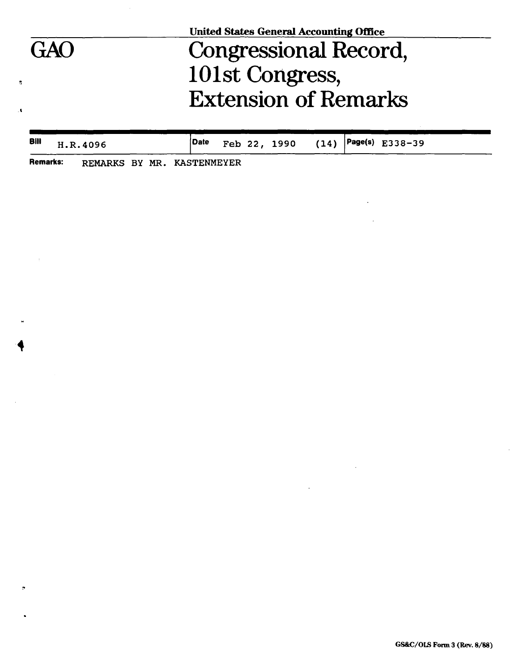|     | <b>United States General Accounting Office</b> |  |
|-----|------------------------------------------------|--|
| GAO | Congressional Record,                          |  |
|     | 101st Congress,                                |  |
|     | <b>Extension of Remarks</b>                    |  |
|     |                                                |  |

| Bill H.R. 4096 | Date |  |  | Page(s) $E338-39$ Teb 22, 1990 (14) Page(s) $E338-39$ |  |
|----------------|------|--|--|-------------------------------------------------------|--|
|                |      |  |  |                                                       |  |

 $\hat{\mathcal{L}}$ 

 $\sim 10^7$ 

 $\ddot{\phantom{a}}$ 

**Remarks: REMARKS BY MR. KASTENMEYER** 

 $\pmb{\hat{u}}$ 

 $\bar{\mathbf{A}}$ 

 $\pm 1$ 

 $\lambda$ 

 $\sigma$ 

 $\bullet$ 

 $\bar{z}$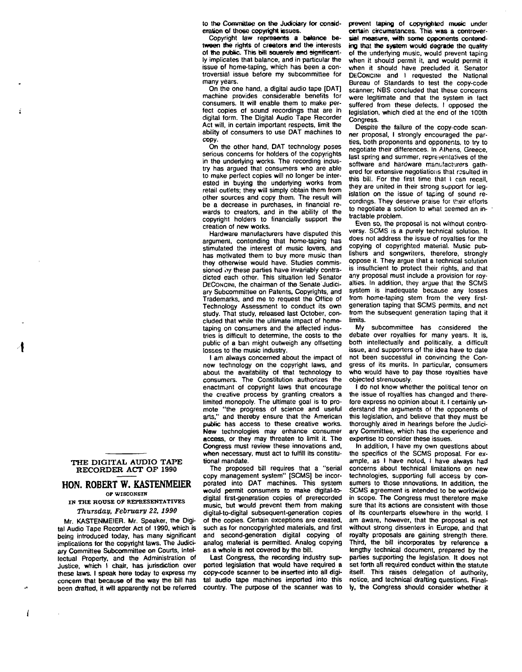to the Committee on the Judiciary for consideration of Uio6e copyright issues.

Copyright law represents a balance between the rights of creators and the interests of the public. This bill squarely and significantly implicates that balance, and in particular the issue of home-taping, which has been a controversial issue before my subcommittee for many years.

On the one hand, a digital audio tape [DAT] machine provides considerable benefits for consumers. It will enable them to make perfect copies of sound recordings that are in digital form. The Digital Audio Tape Recorder Act will, in certain important respects, limit the ability of consumers to use DAT machines to copy.

On the other hand, DAT technology poses serious concerns for holders of the copyrights in the underlying works. The recording industry has argued that consumers who are able to make perfect copies will no longer be interested in buying the underlying works from retail outlets; they will simply obtain them from other sources and copy them. The result will be a decrease in purchases, in financial rewards to creators, and in the ability of the copyright holders to financially support the creation of new works.

Hardware manufacturers have disputed this argument, contending that home-taping has stimulated the interest of music lovers, and has motivated them to buy more music than they otherwise would have. Studies commissioned by these parties have invariably contradicted each other. This situation led Senator DECONCINI, the chairman of the Senate Judiciary Subcommittee on Patents, Copyrights, and Trademarks, and me to request the Office of Technology Assessment to conduct its own study. That study, released last October, concluded that while the ultimate impact of hometaping on consumers and the affected industries is difficult to determine, the costs to the public of a ban might outweigh any offsetting losses to the music industry.

I am always concerned about the impact of new technology on the copyright laws, and about the availability of that technology to consumers. The Constitution authorizes the enactment of copyright laws that encourage the creative process by granting creators a limited monopoly. The ultimate goal is to promote "the progress of science and useful arts," and thereby ensure that the American public has access to these creative works. New technologies may enhance consumer access, or they may threaten to limit it. The Congress must review these innovations and, when necessary, must act to fulfill its constitutional mandate.

The proposed bill requires that a "serial copy management system" [SCMS] be incorporated into DAT machines. This system would permit consumers to make digital-todigital first-generation copies of prerecorded music, but would prevent them from making digital-to-digital subsequent-generation copies of the copies. Certain exceptions are created, such as for noncopyrighted materials, and first and second-generation digital copying of analog material is permitted. Analog copying as a whole is not covered by the bill.

Last Congress, the recording industry supported legislation that would have required a copy-code scanner to be inserted into all digital audio tape machines imported into this country. The purpose of the scanner was to prevent taping of copyrighted music under certain circumstances. This was a controversial measure, with some opponents contending that the system would degrade the quality of the underlying music, would prevent taping when it should permit it, and would permit it when it should have precluded it. Senator DECONCINI and I requested the National Bureau of Standards to test the copy-code scanner: NBS concluded that these concerns were legitimate and that the system in fact suffered from these defects. I opposed the legislation, which died at the end of the 100th Congress.

Despite the failure of the copy-code scanner proposal, I strongly encouraged the parties, both proponents and opponents, to try to negotiate their differences. In Athens, Greece, last spring and summer, representatives of the software and hardware manufacturers gathered for extensive negotiations that resulted in this bill. For the first time that I can recall, they are united in their strong support for legislation on the issue of taping of sound recordings. They deserve praise for their efforts to negotiate a solution to what seemed an intractable problem.

Even so, the proposal is not without controversy. SCMS is a purely technical solution. It does not address the issue of royalties for the copying of copyrighted material. Music publishers and songwriters, therefore, strongly oppose it. They argue that a technical solution is insufficient to protect their rights, and that any proposal must include a provision for royalties. In addition, they argue that the SCMS system is inadequate because any losses from home-taping stem from the very firstgeneration taping that SCMS permits, and not from the subsequent generation taping that it limits.

My subcommittee has considered the debate over royalties for many years. It is, both intellectually and politically, a difficult issue, and supporters of the idea have to date not been successful in convincing the Congress of its merits. In particular, consumers who would have to pay those royalties have objected strenuously.

I do not know whether the political tenor on the issue of royalties has changed and therefore express no opinion about it. I certainly understand the arguments of the opponents of this legislation, and believe that they must be thoroughly aired m hearings before the Judiciary Committee, which has the experience and expertise to consider these issues.

In addition, I have my own questions about the specifics of the SCMS proposal. For example, as I have noted, I have always had concerns about technical limitations on new technologies, supporting full access by consumers to those innovations. In addition, the SCMS agreement is intended to be worldwide in scope. The Congress must therefore make sure that its actions are consistent with those of its counterparts elsewhere in the world. I am aware, however, that the proposal is not without strong dissenters in Europe, and that royalty proposals are gaining strength there. Third, the bill incorporates by reference a lengthy technical document, prepared by the parties supporting the legislation. It does not set forth all required conduct within the statute itself. This raises delegation of authority, notice, and technical drafting questions. Finally, the Congress should consider whether it

## **THE DIGITAL AUDIO TAPE RECORDER ACT OP 1990**

## **HON. ROBERT W. KASTENMEIER**

**OP WISCONSIN** 

**IN THE HOUSE OF REPRESENTATIVES**  *Thursday, February 22, 1990* 

Mr. KASTENMEIER. Mr. Speaker, the Digital Audio Tape Recorder Act of 1990. which is being introduced today, has many significant implications for the copyright laws. The Judiciary Committee Subcommittee on Courts, Intellectual Property, and the Administration of Justice, which I chair, has jurisdiction over these laws. I speak here today to express my concern that because of the way the bill has been drafted, it will apparently not be referred